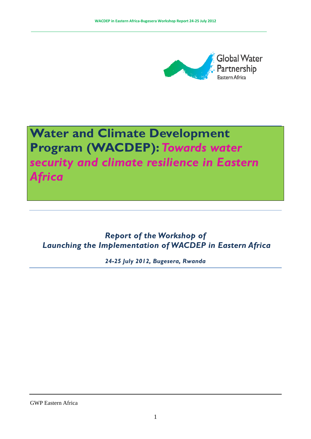

# **Water and Climate Development Program (WACDEP):***Towards water security and climate resilience in Eastern Africa*

## *Report of the Workshop of Launching the Implementation of WACDEP in Eastern Africa*

*24-25 July 2012, Bugesera, Rwanda*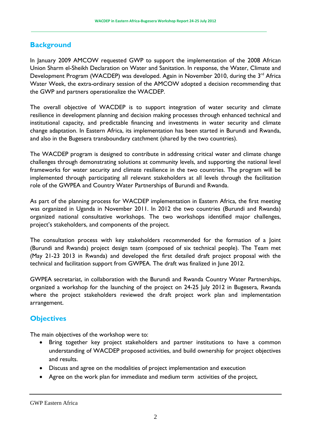## **Background**

In January 2009 AMCOW requested GWP to support the implementation of the 2008 African Union Sharm el-Sheikh Declaration on Water and Sanitation. In response, the Water, Climate and Development Program (WACDEP) was developed. Again in November 2010, during the 3<sup>rd</sup> Africa Water Week, the extra-ordinary session of the AMCOW adopted a decision recommending that the GWP and partners operationalize the WACDEP.

The overall objective of WACDEP is to support integration of water security and climate resilience in development planning and decision making processes through enhanced technical and institutional capacity, and predictable financing and investments in water security and climate change adaptation. In Eastern Africa, its implementation has been started in Burundi and Rwanda, and also in the Bugesera transboundary catchment (shared by the two countries).

The WACDEP program is designed to contribute in addressing critical water and climate change challenges through demonstrating solutions at community levels, and supporting the national level frameworks for water security and climate resilience in the two countries. The program will be implemented through participating all relevant stakeholders at all levels through the facilitation role of the GWPEA and Country Water Partnerships of Burundi and Rwanda.

As part of the planning process for WACDEP implementation in Eastern Africa, the first meeting was organized in Uganda in November 2011. In 2012 the two countries (Burundi and Rwanda) organized national consultative workshops. The two workshops identified major challenges, project's stakeholders, and components of the project.

The consultation process with key stakeholders recommended for the formation of a Joint (Burundi and Rwanda) project design team (composed of six technical people). The Team met (May 21-23 2013 in Rwanda) and developed the first detailed draft project proposal with the technical and facilitation support from GWPEA. The draft was finalized in June 2012.

GWPEA secretariat, in collaboration with the Burundi and Rwanda Country Water Partnerships, organized a workshop for the launching of the project on 24-25 July 2012 in Bugesera, Rwanda where the project stakeholders reviewed the draft project work plan and implementation arrangement.

## **Objectives**

The main objectives of the workshop were to:

- Bring together key project stakeholders and partner institutions to have a common understanding of WACDEP proposed activities, and build ownership for project objectives and results.
- Discuss and agree on the modalities of project implementation and execution
- Agree on the work plan for immediate and medium term activities of the project,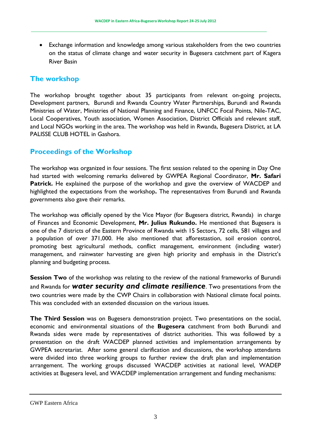• Exchange information and knowledge among various stakeholders from the two countries on the status of climate change and water security in Bugesera catchment part of Kagera River Basin

## **The workshop**

The workshop brought together about 35 participants from relevant on-going projects, Development partners, Burundi and Rwanda Country Water Partnerships, Burundi and Rwanda Ministries of Water, Ministries of National Planning and Finance, UNFCC Focal Points, Nile-TAC, Local Cooperatives, Youth association, Women Association, District Officials and relevant staff, and Local NGOs working in the area. The workshop was held in Rwanda, Bugesera District, at LA PALISSE CLUB HOTEL in Gashora.

## **Proceedings of the Workshop**

The workshop was organized in four sessions. The first session related to the opening in Day One had started with welcoming remarks delivered by GWPEA Regional Coordinator, **Mr. Safari**  Patrick. He explained the purpose of the workshop and gave the overview of WACDEP and highlighted the expectations from the workshop**.** The representatives from Burundi and Rwanda governments also gave their remarks.

The workshop was officially opened by the Vice Mayor (for Bugesera district, Rwanda) in charge of Finances and Economic Development, **Mr. Julius Rukundo.** He mentioned that Bugesera is one of the 7 districts of the Eastern Province of Rwanda with 15 Sectors, 72 cells, 581 villages and a population of over 371,000. He also mentioned that afforestastion, soil erosion control, promoting best agricultural methods, conflict management, environment (including water) management, and rainwater harvesting are given high priority and emphasis in the District's planning and budgeting process.

**Session Two** of the workshop was relating to the review of the national frameworks of Burundi and Rwanda for *water security and climate resilience*. Two presentations from the two countries were made by the CWP Chairs in collaboration with National climate focal points. This was concluded with an extended discussion on the various issues.

**The Third Session** was on Bugesera demonstration project. Two presentations on the social, economic and environmental situations of the **Bugesera** catchment from both Burundi and Rwanda sides were made by representatives of district authorities. This was followed by a presentation on the draft WACDEP planned activities and implementation arrangements by GWPEA secretariat. After some general clarification and discussions, the workshop attendants were divided into three working groups to further review the draft plan and implementation arrangement. The working groups discussed WACDEP activities at national level, WADEP activities at Bugesera level, and WACDEP implementation arrangement and funding mechanisms:

GWP Eastern Africa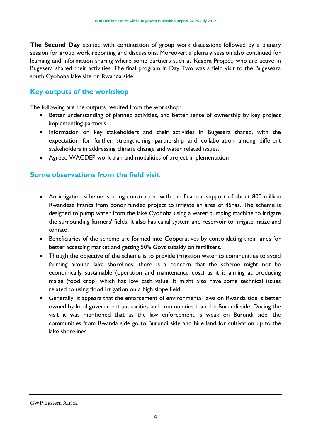**The Second Day** started with continuation of group work discussions followed by a plenary session for group work reporting and discussions. Moreover, a plenary session also continued for learning and information sharing where some partners such as Kagera Project, who are active in Bugesera shared their activities. The final program in Day Two was a field visit to the Bugeseara south Cyohoha lake site on Rwanda side.

## **Key outputs of the workshop**

The following are the outputs resulted from the workshop:

- Better understanding of planned activities, and better sense of ownership by key project implementing partners
- Information on key stakeholders and their activities in Bugesera shared, with the expectation for further strengthening partnership and collaboration among different stakeholders in addressing climate change and water related issues.
- Agreed WACDEP work plan and modalities of project implementation

## **Some observations from the field visit**

- An irrigation scheme is being constructed with the financial support of about 800 million Rwandese Francs from donor funded project to irrigate an area of 45has. The scheme is designed to pump water from the lake Cyohoha using a water pumping machine to irrigate the surrounding farmers' fields. It also has canal system and reservoir to irrigate maize and tomato.
- Beneficiaries of the scheme are formed into Cooperatives by consolidating their lands for better accessing market and getting 50% Govt subsidy on fertilizers.
- Though the objective of the scheme is to provide irrigation water to communities to avoid farming around lake shorelines, there is a concern that the scheme might not be economically sustainable (operation and maintenance cost) as it is aiming at producing maize (food crop) which has low cash value. It might also have some technical issues related to using flood irrigation on a high slope field.
- Generally, it appears that the enforcement of environmental laws on Rwanda side is better owned by local government authorities and communities than the Burundi side. During the visit it was mentioned that as the law enforcement is weak on Burundi side, the communities from Rwanda side go to Burundi side and hire land for cultivation up to the lake shorelines.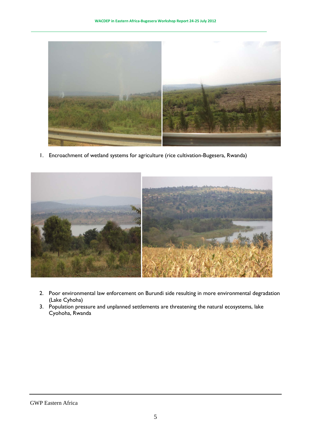

1. Encroachment of wetland systems for agriculture (rice cultivation-Bugesera, Rwanda)



- 2. Poor environmental law enforcement on Burundi side resulting in more environmental degradation (Lake Cyhoha)
- 3. Population pressure and unplanned settlements are threatening the natural ecosystems, lake Cyohoha, Rwanda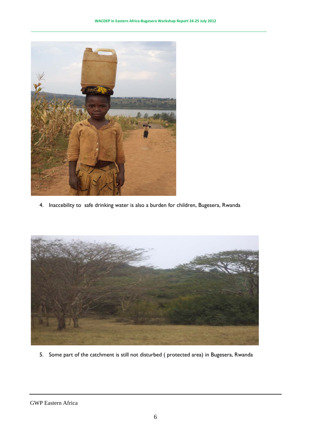

4. Inaccebility to safe drinking water is also a burden for children, Bugesera, Rwanda



5. Some part of the catchment is still not disturbed ( protected area) in Bugesera, Rwanda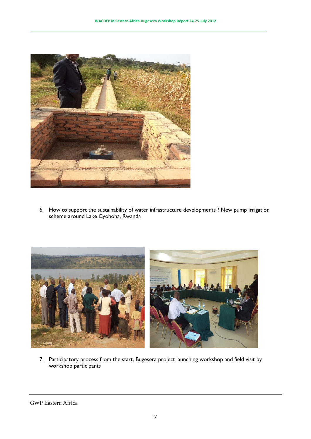

6. How to support the sustainability of water infrastructure developments ? New pump irrigation scheme around Lake Cyohoha, Rwanda



7. Participatory process from the start, Bugesera project launching workshop and field visit by workshop participants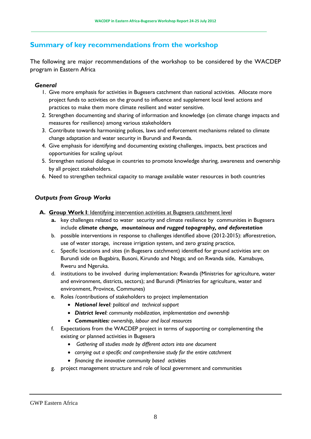## **Summary of key recommendations from the workshop**

The following are major recommendations of the workshop to be considered by the WACDEP program in Eastern Africa

#### *General*

- 1. Give more emphasis for activities in Bugesera catchment than national activities. Allocate more project funds to activities on the ground to influence and supplement local level actions and practices to make them more climate resilient and water sensitive.
- 2. Strengthen documenting and sharing of information and knowledge (on climate change impacts and measures for resilience) among various stakeholders
- 3. Contribute towards harmonizing polices, laws and enforcement mechanisms related to climate change adaptation and water security in Burundi and Rwanda.
- 4. Give emphasis for identifying and documenting existing challenges, impacts, best practices and opportunities for scaling up/out
- 5. Strengthen national dialogue in countries to promote knowledge sharing, awareness and ownership by all project stakeholders.
- 6. Need to strengthen technical capacity to manage available water resources in both countries

## *Outputs from Group Works*

- **A. Group Work I**: Identifying intervention activities at Bugesera catchment level
	- **a.** key challenges related to water security and climate resilience by communities in Bugesera include *climate change, mountainous and rugged topography, and deforestation*
	- b. possible interventions in response to challenges identified above (2012-2015): afforestretion, use of water storage, increase irrigation system, and zero grazing practice,
	- c. Specific locations and sites (in Bugesera catchment) identified for ground activities are: on Burundi side on Bugabira, Busoni, Kirundo and Ntega; and on Rwanda side, Kamabuye, Rweru and Ngeruka.
	- d. institutions to be involved during implementation: Rwanda (Ministries for agriculture, water and environment, districts, sectors); and Burundi (Ministries for agriculture, water and environment, Province, Communes)
	- e. Roles /contributions of stakeholders to project implementation
		- *National level: political and technical support*
		- *District level: community mobilization, implementation and ownership*
		- *Communities: ownership, labour and local resources*
	- f. Expectations from the WACDEP project in terms of supporting or complementing the existing or planned activities in Bugesera
		- *Gathering all studies made by different actors into one document*
		- *carrying out a specific and comprehensive study for the entire catchment*
		- *financing the innovative community based activities*
	- g. project management structure and role of local government and communities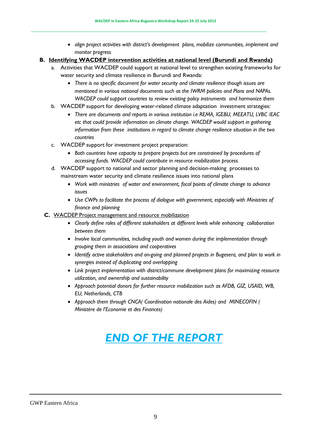- *align project activities with district's development plans, mobilize communities, implement and monitor progress*
- **B. Identifying WACDEP intervention activities at national level (Burundi and Rwanda)**
	- a. Activities that WACDEP could support at national level to strengthen existing frameworks for water security and climate resilience in Burundi and Rwanda:
		- *There is no specific document for water security and climate resilience though issues are mentioned in various national documents such as the IWRM policies and Plans and NAPAs. WACDEP could support countries to review existing policy instruments and harmonize them*
	- b. WACDEP support for developing water-related climate adaptation investment strategies:
		- *There are documents and reports in various institution i.e REMA, IGEBU, MEEATU, LVBC /EAC etc that could provide information on climate change. WACDEP would support in gathering information from these institutions in regard to climate change resilience situation in the two countries*
	- c. WACDEP support for investment project preparation:
		- *Both countries have capacity to prepare projects but are constrained by procedures of accessing funds. WACDEP could contribute in resource mobilization process.*
	- d. WACDEP support to national and sector planning and decision-making processes to mainstream water security and climate resilience issues into national plans
		- *Work with ministries of water and environment, focal points of climate change to advance issues*
		- *Use CWPs to facilitate the process of dialogue with government, especially with Ministries of finance and planning*
	- **C.** WACDEP Project management and resource mobilization
		- *Clearly define roles of different stakeholders at different levels while enhancing collaboration between them*
		- *Involve local communities, including youth and women during the implementation through grouping them in associations and cooperatives*
		- *Identify active stakeholders and on-going and planned projects in Bugesera, and plan to work in synergies instead of duplicating and overlapping*
		- *Link project implementation with district/commune development plans for maximizing resource utilization, and ownership and sustainability*
		- *Approach potential donors for further resource mobilization such as AFDB, GIZ, USAID, WB, EU, Netherlands, CTB*
		- *Approach them through CNCA( Coordination nationale des Aides) and MINECOFIN ( Ministère de l'Economie et des Finances)*

## *END OF THE REPORT*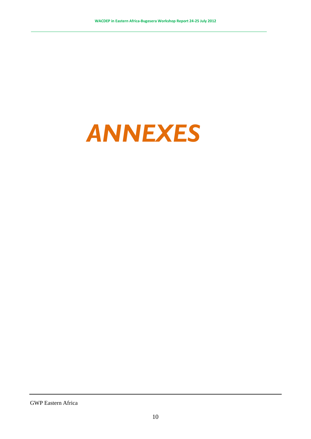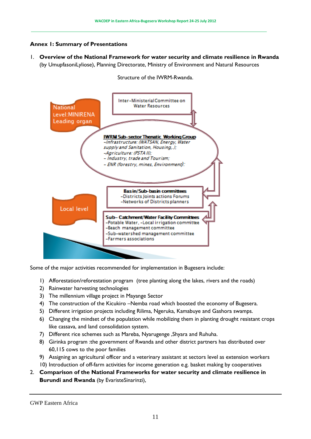#### **Annex 1: Summary of Presentations**

1. **Overview of the National Framework for water security and climate resilience in Rwanda**  (by UmupfasoniLyliose), Planning Directorate, Ministry of Environment and Natural Resources



Structure of the IWRM-Rwanda.

Some of the major activities recommended for implementation in Bugesera include:

- 1) Afforestation/reforestation program (tree planting along the lakes, rivers and the roads)
- 2) Rainwater harvesting technologies
- 3) The millennium village project in Mayange Sector
- 4) The construction of the Kicukiro –Nemba road which boosted the economy of Bugesera.
- 5) Different irrigation projects including Rilima, Ngeruka, Kamabuye and Gashora swamps.
- 6) Changing the mindset of the population while mobilizing them in planting drought resistant crops like cassava, and land consolidation system.
- 7) Different rice schemes such as Mareba, Nyarugenge ,Shyara and Ruhuha.
- 8) Girinka program :the government of Rwanda and other district partners has distributed over 60,115 cows to the poor families
- 9) Assigning an agricultural officer and a veterinary assistant at sectors level as extension workers
- 10) Introduction of off-farm activities for income generation e.g. basket making by cooperatives
- 2. **Comparison of the National Frameworks for water security and climate resilience in Burundi and Rwanda** (by EvaristeSinarinzi),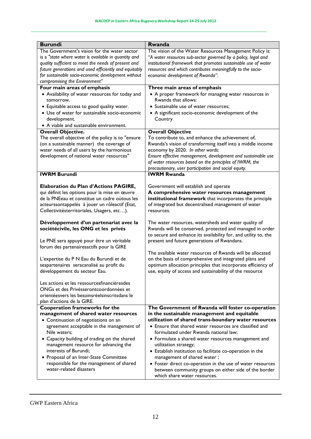| <b>Burundi</b>                                                                         | Rwanda                                                          |  |  |
|----------------------------------------------------------------------------------------|-----------------------------------------------------------------|--|--|
| The Government's vision for the water sector                                           | The vision of the Water Resources Management Policy is:         |  |  |
| is a "state where water is available in quantity and                                   | "A water resources sub-sector governed by a policy, legal and   |  |  |
| quality sufficient to meet the needs of present and                                    | institutional framework that promotes sustainable use of water  |  |  |
| future generations and used efficiently and equitably                                  | resources and which contributes meaningfully to the socio-      |  |  |
| for sustainable socio-economic development without                                     | economic development of Rwanda".                                |  |  |
| compromising the Environment"                                                          |                                                                 |  |  |
| Four main areas of emphasis                                                            | Three main areas of emphasis                                    |  |  |
| • Availability of water resources for today and                                        | • A proper framework for managing water resources in            |  |  |
| tomorrow.                                                                              | Rwanda that allows:                                             |  |  |
| • Equitable access to good quality water.                                              | • Sustainable use of water resources;                           |  |  |
| • Use of water for sustainable socio-economic                                          | • A significant socio-economic development of the               |  |  |
| development.                                                                           | Country                                                         |  |  |
| • A viable and sustainable environment.                                                |                                                                 |  |  |
| <b>Overall Objective.</b>                                                              | <b>Overall Objective</b>                                        |  |  |
| The overall objective of the policy is to "ensure                                      | To contribute to, and enhance the achievement of,               |  |  |
| (on a sustainable manner) the coverage of                                              | Rwanda's vision of transforming itself into a middle income     |  |  |
| water needs of all users by the harmonious                                             | economy by 2020. In other words:                                |  |  |
| development of national water resources"                                               | Ensure effective management, development and sustainable use    |  |  |
|                                                                                        | of water resources based on the principles of IWRM, the         |  |  |
|                                                                                        | precautionary, user participation and social equity.            |  |  |
| <b>IWRM Burundi</b>                                                                    | <b>IWRM Rwanda</b>                                              |  |  |
|                                                                                        | Government will establish and operate                           |  |  |
| Elaboration du Plan d'Actions PAGIRE,<br>qui définit les options pour la mise en œuvre | A comprehensive water resources management                      |  |  |
| de la PNEeau et constitue un cadre oùtous les                                          | institutional framework that incorporates the principle         |  |  |
| acteurssontappelés à jouer un rôleactif (Etat,                                         | of integrated but decentralised management of water             |  |  |
| Collectivitésterritoriales, Usagers, etc).                                             | resources.                                                      |  |  |
|                                                                                        |                                                                 |  |  |
| Développement d'un partenariat avec la                                                 | The water resources, watersheds and water quality of            |  |  |
| sociétécivile, les ONG et les privés                                                   | Rwanda will be conserved, protected and managed in order        |  |  |
|                                                                                        | to secure and enhance its availability for, and utility to, the |  |  |
| Le PNE sera appuyé pour être un véritable                                              | present and future generations of Rwandans.                     |  |  |
| forum des partenairesactifs pour la GIRE                                               |                                                                 |  |  |
|                                                                                        | The available water resources of Rwanda will be allocated       |  |  |
| L'expertise du P N Eau du Burundi et de                                                | on the basis of comprehensive and integrated plans and          |  |  |
| sespartenaires seracanalisé au profit du                                               | optimum allocation principles that incorporate efficiency of    |  |  |
| développement du secteur Eau.                                                          | use, equity of access and sustainability of the resource        |  |  |
| Les actions et les ressourcesfinancièresdes                                            |                                                                 |  |  |
| ONGs et des Privésserontcoordonnées et                                                 |                                                                 |  |  |
| orientéesvers les besoinsréelsinscritsdans le                                          |                                                                 |  |  |
| plan d'actions de la GIRE.                                                             |                                                                 |  |  |
| Cooperation frameworks for the                                                         | The Government of Rwanda will foster co-operation               |  |  |
| management of shared water resources                                                   | in the sustainable management and equitable                     |  |  |
| • Continuation of negotiations on an                                                   | utilization of shared trans-boundary water resources            |  |  |
| agreement acceptable in the management of                                              | • Ensure that shared water resources are classified and         |  |  |
| Nile waters;                                                                           | formulated under Rwanda national law;                           |  |  |
| • Capacity building of trading on the shared                                           | • Formulate a shared water resources management and             |  |  |
| management resource for advancing the                                                  | utilization strategy;                                           |  |  |
| interests of Burundi;                                                                  | • Establish institution to facilitate co-operation in the       |  |  |
| • Proposal of an Inter-State Committee                                                 | management of shared water;                                     |  |  |
| responsible for the management of shared                                               | • Foster direct co-operation in the use of water resources      |  |  |
| water-related disasters                                                                | between community groups on either side of the border           |  |  |
|                                                                                        | which share water resources.                                    |  |  |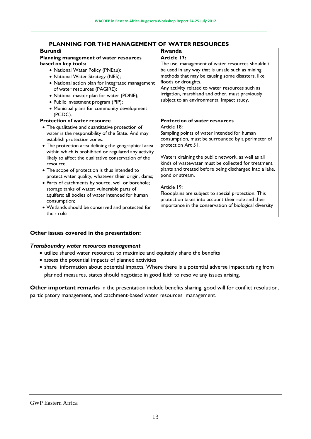| <b>Burundi</b>                                                                                                                                                                                                                                                                                                                                                                                                                                                                                                                                                                                                                                                                                                     | <b>Rwanda</b>                                                                                                                                                                                                                                                                                                                                                                                                                                                                                                                                                  |
|--------------------------------------------------------------------------------------------------------------------------------------------------------------------------------------------------------------------------------------------------------------------------------------------------------------------------------------------------------------------------------------------------------------------------------------------------------------------------------------------------------------------------------------------------------------------------------------------------------------------------------------------------------------------------------------------------------------------|----------------------------------------------------------------------------------------------------------------------------------------------------------------------------------------------------------------------------------------------------------------------------------------------------------------------------------------------------------------------------------------------------------------------------------------------------------------------------------------------------------------------------------------------------------------|
| Planning management of water resources                                                                                                                                                                                                                                                                                                                                                                                                                                                                                                                                                                                                                                                                             | Article 17:                                                                                                                                                                                                                                                                                                                                                                                                                                                                                                                                                    |
| based on key tools:<br>• National Water Policy (PNEau);<br>• National Water Strategy (NES);<br>• National action plan for integrated management<br>of water resources (PAGIRE);<br>• National master plan for water (PDNE);<br>· Public investment program (PIP);<br>• Municipal plans for community development<br>(PCDC).                                                                                                                                                                                                                                                                                                                                                                                        | The use, management of water resources shouldn't<br>be used in any way that is unsafe such as mining<br>methods that may be causing some disasters, like<br>floods or droughts.<br>Any activity related to water resources such as<br>irrigation, marshland and other, must previously<br>subject to an environmental impact study.                                                                                                                                                                                                                            |
| <b>Protection of water resource</b><br>• The qualitative and quantitative protection of<br>water is the responsibility of the State. And may<br>establish protection zones.<br>• The protection area defining the geographical area<br>within which is prohibited or regulated any activity<br>likely to affect the qualitative conservation of the<br>resource<br>• The scope of protection is thus intended to<br>protect water quality, whatever their origin, dams;<br>• Parts of catchments by source, well or borehole;<br>storage tanks of water; vulnerable parts of<br>aquifers; all bodies of water intended for human<br>consumption;<br>• Wetlands should be conserved and protected for<br>their role | <b>Protection of water resources</b><br>Article 18:<br>Sampling points of water intended for human<br>consumption, must be surrounded by a perimeter of<br>protection Art 51.<br>Waters draining the public network, as well as all<br>kinds of wastewater must be collected for treatment<br>plants and treated before being discharged into a lake,<br>pond or stream.<br>Article 19:<br>Floodplains are subject to special protection. This<br>protection takes into account their role and their<br>importance in the conservation of biological diversity |

## **PLANNING FOR THE MANAGEMENT OF WATER RESOURCES**

### **Other issues covered in the presentation:**

#### *Transboundry water resources management*

- utilize shared water resources to maximize and equitably share the benefits
- assess the potential impacts of planned activities
- share information about potential impacts. Where there is a potential adverse impact arising from planned measures, states should negotiate in good faith to resolve any issues arising.

**Other important remarks** in the presentation include benefits sharing, good will for conflict resolution, participatory management, and catchment-based water resources management.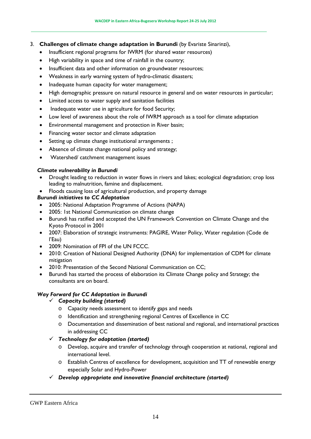#### 3. **Challenges of climate change adaptation in Burundi** (by Evariste Sinarinzi),

- Insufficient regional programs for IWRM (for shared water resources)
- High variability in space and time of rainfall in the country;
- Insufficient data and other information on groundwater resources;
- Weakness in early warning system of hydro-climatic disasters;
- Inadequate human capacity for water management;
- High demographic pressure on natural resource in general and on water resources in particular;
- Limited access to water supply and sanitation facilities
- Inadequate water use in agriculture for food Security;
- Low level of awareness about the role of IWRM approach as a tool for climate adaptation
- Environmental management and protection in River basin;
- Financing water sector and climate adaptation
- Setting up climate change institutional arrangements ;
- Absence of climate change national policy and strategy;
- Watershed/ catchment management issues

#### *Climate vulnerability in Burundi*

- Drought leading to reduction in water flows in rivers and lakes; ecological degradation; crop loss leading to malnutrition, famine and displacement.
- Floods causing loss of agricultural production, and property damage

#### *Burundi initiatives to CC Adaptation*

- 2005: National Adaptation Programme of Actions (NAPA)
- 2005: 1st National Communication on climate change
- Burundi has ratified and accepted the UN Framework Convention on Climate Change and the Kyoto Protocol in 2001
- 2007: Elaboration of strategic instruments: PAGIRE, Water Policy, Water regulation (Code de l'Eau)
- 2009: Nomination of FPI of the UN FCCC.
- 2010: Creation of National Designed Authority (DNA) for implementation of CDM for climate mitigation
- 2010: Presentation of the Second National Communication on CC;
- Burundi has started the process of elaboration its Climate Change policy and Strategy; the consultants are on board.

#### *Way Forward for CC Adaptation in Burundi*

- *Capacity building (started)*
	- o Capacity needs assessment to identify gaps and needs
	- o Identification and strengthening regional Centres of Excellence in CC
	- o Documentation and dissemination of best national and regional, and international practices in addressing CC
- *Technology for adaptation (started)* 
	- o Develop, acquire and transfer of technology through cooperation at national, regional and international level.
	- o Establish Centres of excellence for development, acquisition and TT of renewable energy especially Solar and Hydro-Power
- *Develop appropriate and innovative financial architecture (started)*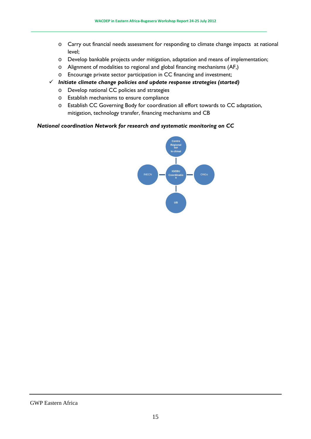- o Carry out financial needs assessment for responding to climate change impacts at national level;
- o Develop bankable projects under mitigation, adaptation and means of implementation;
- o Alignment of modalities to regional and global financing mechanisms (AF,)
- o Encourage private sector participation in CC financing and investment;
- *Initiate climate change policies and update response strategies (started)*
	- o Develop national CC policies and strategies
	- o Establish mechanisms to ensure compliance
	- o Establish CC Governing Body for coordination all effort towards to CC adaptation, mitigation, technology transfer, financing mechanisms and CB

#### *National coordination Network for research and systematic monitoring on CC*

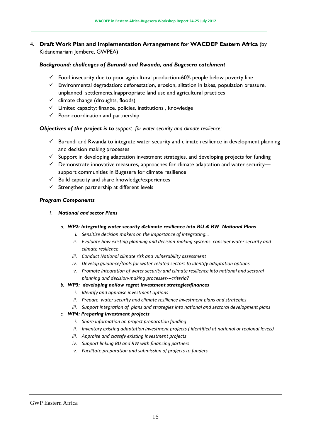#### 4. **Draft Work Plan and Implementation Arrangement for WACDEP Eastern Africa** (by Kidanemariam Jembere, GWPEA)

#### *Background: challenges of Burundi and Rwanda, and Bugesera catchment*

- $\checkmark$  Food insecurity due to poor agricultural production-60% people below poverty line
- $\checkmark$  Environmental degradation: deforestation, erosion, siltation in lakes, population pressure, unplanned settlements,Inappropriate land use and agricultural practices
- $\checkmark$  climate change (droughts, floods)
- $\checkmark$  Limited capacity: finance, policies, institutions, knowledge
- $\checkmark$  Poor coordination and partnership

#### *Objectives of the project is to support for water security and climate resilience:*

- $\checkmark$  Burundi and Rwanda to integrate water security and climate resilience in development planning and decision making processes
- $\checkmark$  Support in developing adaptation investment strategies, and developing projects for funding
- $\checkmark$  Demonstrate innovative measures, approaches for climate adaptation and water security support communities in Bugesera for climate resilience
- $\checkmark$  Build capacity and share knowledge/experiences
- $\checkmark$  Strengthen partnership at different levels

#### *Program Components*

- *1. National and sector Plans*
	- *a. WP2: Integrating water security &climate resilience into BU & RW National Plans* 
		- *i. Sensitize decision makers on the importance of integrating…*
		- *ii. Evaluate how existing planning and decision-making systems consider water security and climate resilience*
		- *iii. Conduct National climate risk and vulnerability assessment*
		- *iv. Develop guidance/tools for water-related sectors to identify adaptation options*
		- *v. Promote integration of water security and climate resilience into national and sectoral planning and decision-making processes---criteria?*
	- *b. WP3: developing no/low regret investment strategies/finances* 
		- *i. Identify and appraise investment options*
		- *ii. Prepare water security and climate resilience investment plans and strategies*
		- *iii. Support integration of plans and strategies into national and sectoral development plans*

#### *c. WP4: Preparing investment projects*

- *i. Share information on project preparation funding*
- *ii. Inventory existing adaptation investment projects ( identified at national or regional levels)*
- *iii. Appraise and classify existing investment projects*
- *iv. Support linking BU and RW with financing partners*
- *v. Facilitate preparation and submission of projects to funders*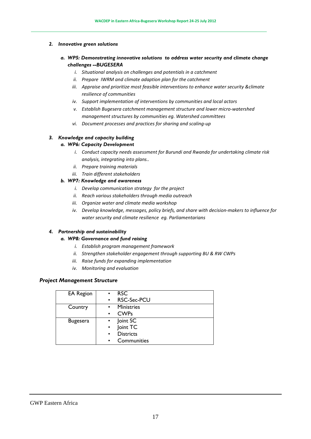#### *2. Innovative green solutions*

- *a. WP5: Demonstrating innovative solutions to address water security and climate change challenges --BUGESERA* 
	- *i. Situational analysis on challenges and potentials in a catchment*
	- *ii. Prepare IWRM and climate adaption plan for the catchment*
	- *iii. Appraise and prioritize most feasible interventions to enhance water security &climate resilience of communities*
	- *iv. Support implementation of interventions by communities and local actors*
	- *v. Establish Bugesera catchment management structure and lower micro-watershed management structures by communities eg. Watershed committees*
	- *vi. Document processes and practices for sharing and scaling-up*

#### *3. Knowledge and capacity building*

#### *a. WP6: Capacity Development*

- *i. Conduct capacity needs assessment for Burundi and Rwanda for undertaking climate risk analysis, integrating into plans..*
- *ii. Prepare training materials*
- *iii. Train different stakeholders*

#### *b. WP7: Knowledge and awareness*

- *i. Develop communication strategy for the project*
- *ii. Reach various stakeholders through media outreach*
- *iii. Organize water and climate media workshop*
- *iv. Develop knowledge, messages, policy briefs, and share with decision-makers to influence for water security and climate resilience eg. Parliamentarians*

#### *4. Partnership and sustainability*

#### *a. WP8: Governance and fund raising*

- *i. Establish program management framework*
- *ii. Strengthen stakeholder engagement through supporting BU & RW CWPs*
- *iii. Raise funds for expanding implementation*
- *iv. Monitoring and evaluation*

#### *Project Management Structure*

| <b>EA Region</b> | <b>RSC</b><br>$\bullet$       |
|------------------|-------------------------------|
|                  | RSC-Sec-PCU<br>$\bullet$      |
| Country          | <b>Ministries</b>             |
|                  | <b>CWPs</b>                   |
| <b>Bugesera</b>  | Joint SC                      |
|                  | Joint TC<br>$\bullet$         |
|                  | <b>Districts</b><br>$\bullet$ |
|                  | Communities<br>$\bullet$      |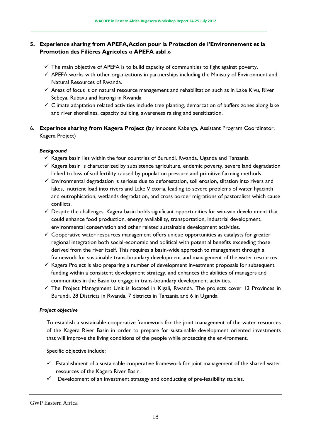#### **5. Experience sharing from APEFA,Action pour la Protection de l'Environnement et la Promotion des Filières Agricoles « APEFA asbl »**

- $\checkmark$  The main objective of APEFA is to build capacity of communities to fight against poverty.
- $\checkmark$  APEFA works with other organizations in partnerships including the Ministry of Environment and Natural Resources of Rwanda.
- $\checkmark$  Areas of focus is on natural resource management and rehabilitation such as in Lake Kivu, River Sebeya, Rubavu and karongi in Rwanda
- $\checkmark$  Climate adaptation related activities include tree planting, demarcation of buffers zones along lake and river shorelines, capacity building, awareness raising and sensitization.
- 6. **Experince sharing from Kagera Project (b**y Innocent Kabenga, Assistant Program Coordinator, Kagera Project)

#### *Background*

- $\checkmark$  Kagera basin lies within the four countries of Burundi, Rwanda, Uganda and Tanzania
- $\checkmark$  Kagera basin is characterized by subsistence agriculture, endemic poverty, severe land degradation linked to loss of soil fertility caused by population pressure and primitive farming methods.
- $\checkmark$  Environmental degradation is serious due to deforestation, soil erosion, siltation into rivers and lakes, nutrient load into rivers and Lake Victoria, leading to severe problems of water hyacinth and eutrophication, wetlands degradation, and cross border migrations of pastoralists which cause conflicts.
- $\checkmark$  Despite the challenges, Kagera basin holds significant opportunities for win-win development that could enhance food production, energy availability, transportation, industrial development, environmental conservation and other related sustainable development activities.
- $\checkmark$  Cooperative water resources management offers unique opportunities as catalysts for greater regional integration both social-economic and political with potential benefits exceeding those derived from the river itself. This requires a basin-wide approach to management through a framework for sustainable trans-boundary development and management of the water resources.
- $\checkmark$  Kagera Project is also preparing a number of development investment proposals for subsequent funding within a consistent development strategy, and enhances the abilities of managers and communities in the Basin to engage in trans-boundary development activities.
- $\checkmark$  The Project Management Unit is located in Kigali, Rwanda. The projects cover 12 Provinces in Burundi, 28 Districts in Rwanda, 7 districts in Tanzania and 6 in Uganda

#### *Project objective*

To establish a sustainable cooperative framework for the joint management of the water resources of the Kagera River Basin in order to prepare for sustainable development oriented investments that will improve the living conditions of the people while protecting the environment.

Specific objective include:

- $\checkmark$  Establishment of a sustainable cooperative framework for joint management of the shared water resources of the Kagera River Basin.
- $\checkmark$  Development of an investment strategy and conducting of pre-feasibility studies.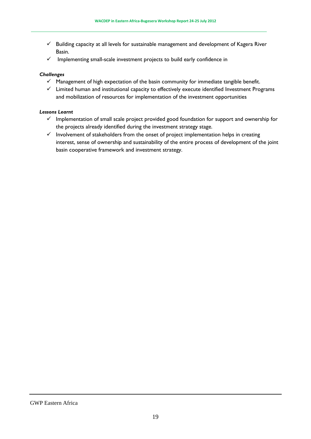- $\checkmark$  Building capacity at all levels for sustainable management and development of Kagera River Basin.
- $\checkmark$  Implementing small-scale investment projects to build early confidence in

#### *Challenges*

- $\checkmark$  Management of high expectation of the basin community for immediate tangible benefit.
- $\checkmark$  Limited human and institutional capacity to effectively execute identified Investment Programs and mobilization of resources for implementation of the investment opportunities

#### *Lessons Learnt*

- $\checkmark$  Implementation of small scale project provided good foundation for support and ownership for the projects already identified during the investment strategy stage.
- $\checkmark$  Involvement of stakeholders from the onset of project implementation helps in creating interest, sense of ownership and sustainability of the entire process of development of the joint basin cooperative framework and investment strategy.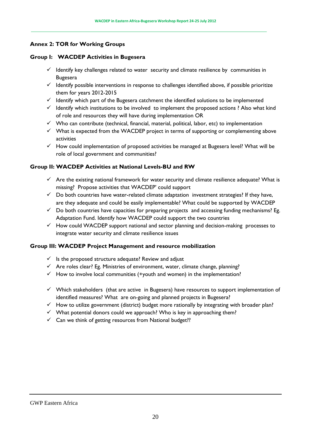#### **Annex 2: TOR for Working Groups**

#### **Group I: WACDEP Activities in Bugesera**

- $\checkmark$  Identify key challenges related to water security and climate resilience by communities in Bugesera
- $\checkmark$  Identify possible interventions in response to challenges identified above, if possible prioritize them for years 2012-2015
- $\checkmark$  Identify which part of the Bugesera catchment the identified solutions to be implemented
- $\checkmark$  Identify which institutions to be involved to implement the proposed actions ? Also what kind of role and resources they will have during implementation OR
- $\checkmark$  Who can contribute (technical, financial, material, political, labor, etc) to implementation
- $\checkmark$  What is expected from the WACDEP project in terms of supporting or complementing above activities
- $\checkmark$  How could implementation of proposed activities be managed at Bugesera level? What will be role of local government and communities?

#### **Group II: WACDEP Activities at National Levels-BU and RW**

- $\checkmark$  Are the existing national framework for water security and climate resilience adequate? What is missing? Propose activities that WACDEP' could support
- $\checkmark$  Do both countries have water-related climate adaptation investment strategies? If they have, are they adequate and could be easily implementable? What could be supported by WACDEP
- $\checkmark$  Do both countries have capacities for preparing projects and accessing funding mechanisms? Eg. Adaptation Fund. Identify how WACDEP could support the two countries
- $\checkmark$  How could WACDEP support national and sector planning and decision-making processes to integrate water security and climate resilience issues

#### **Group III: WACDEP Project Management and resource mobilization**

- $\checkmark$  Is the proposed structure adequate? Review and adjust
- $\checkmark$  Are roles clear? Eg. Ministries of environment, water, climate change, planning?
- $\checkmark$  How to involve local communities (+youth and women) in the implementation?
- $\checkmark$  Which stakeholders (that are active in Bugesera) have resources to support implementation of identified measures? What are on-going and planned projects in Bugesera?
- $\checkmark$  How to utilize government (district) budget more rationally by integrating with broader plan?
- $\checkmark$  What potential donors could we approach? Who is key in approaching them?
- $\checkmark$  Can we think of getting resources from National budget??

GWP Eastern Africa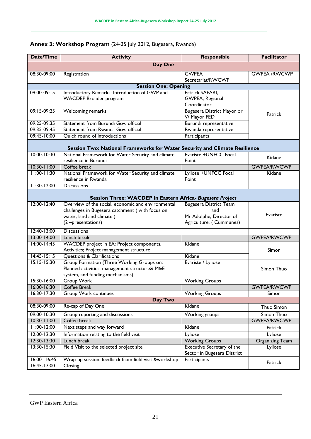## **Annex 3: Workshop Program** (24-25 July 2012, Bugesera, Rwanda)

| Date/Time                                                 | <b>Activity</b>                                                            | <b>Responsible</b>                         | <b>Facilitator</b>     |  |  |
|-----------------------------------------------------------|----------------------------------------------------------------------------|--------------------------------------------|------------------------|--|--|
| <b>Day One</b>                                            |                                                                            |                                            |                        |  |  |
| 08:30-09:00                                               | Registration                                                               | <b>GWPEA</b>                               | <b>GWPEA /RWCWP</b>    |  |  |
|                                                           |                                                                            | Secretariat/RWCWP                          |                        |  |  |
|                                                           | <b>Session One: Opening</b>                                                |                                            |                        |  |  |
| $09:00-09:15$                                             | Introductory Remarks: Introduction of GWP and                              | Patrick SAFARI,                            |                        |  |  |
|                                                           | <b>WACDEP Broader program</b>                                              | GWPEA, Regional                            |                        |  |  |
|                                                           |                                                                            | Coordinator                                |                        |  |  |
| 09:15-09:25                                               | Welcoming remarks                                                          | Bugesera District Mayor or<br>V/ Mayor FED | Patrick                |  |  |
| 09:25-09:35                                               | Statement from Burundi Gov. official                                       | Burundi representative                     |                        |  |  |
| 09:35-09:45                                               | Statement from Rwanda Gov. official                                        | Rwanda representative                      |                        |  |  |
| 09:45-10:00                                               | Quick round of introductions                                               | Participants                               |                        |  |  |
|                                                           | Session Two: National Frameworks for Water Security and Climate Resilience |                                            |                        |  |  |
| 10:00-10:30                                               | National Framework for Water Security and climate                          | Evariste +UNFCC Focal                      |                        |  |  |
|                                                           | resilience in Burundi                                                      | Point                                      | Kidane                 |  |  |
| $10:30 - 11:00$                                           | Coffee break                                                               |                                            | <b>GWPEA/RWCWP</b>     |  |  |
| $11:00 - 11:30$                                           | National Framework for Water Security and climate                          | Lyliose +UNFCC Focal                       | Kidane                 |  |  |
|                                                           | resilience in Rwanda                                                       | Point                                      |                        |  |  |
| $11:30-12:00$                                             | <b>Discussions</b>                                                         |                                            |                        |  |  |
| Session Three: WACDEP in Eastern Africa- Bugesera Project |                                                                            |                                            |                        |  |  |
| $12:00 - 12:40$                                           | Overview of the social, economic and environmental                         | <b>Bugesera District Team</b>              |                        |  |  |
|                                                           | challenges in Bugesera catchment (with focus on                            | and                                        |                        |  |  |
|                                                           | water, land and climate)                                                   | Mr Adolphe, Director of                    | <b>Evariste</b>        |  |  |
|                                                           | (2-presentations)                                                          | Agriculture, (Cummunes)                    |                        |  |  |
| $12:40 - 13:00$                                           | <b>Discussions</b>                                                         |                                            |                        |  |  |
| 13:00-14:00                                               | Lunch break                                                                |                                            | <b>GWPEA/RWCWP</b>     |  |  |
| $14:00 - 14:45$                                           | WACDEP project in EA: Project components,                                  | Kidane                                     | Simon                  |  |  |
|                                                           | Activities; Project management structure                                   |                                            |                        |  |  |
| $14:45 - 15:15$                                           | <b>Questions &amp; Clarifications</b>                                      | Kidane                                     |                        |  |  |
| $15:15-15:30$                                             | Group Formation (Three Working Groups on:                                  | Evariste / Lyliose                         |                        |  |  |
|                                                           | Planned activities, management structure& M&E                              |                                            | Simon Thuo             |  |  |
|                                                           | system, and funding mechanisms)                                            |                                            |                        |  |  |
| 15:30-16:00                                               | Group Work                                                                 | <b>Working Groups</b>                      |                        |  |  |
| $16:00 - 16:30$                                           | <b>Coffee Break</b>                                                        |                                            | <b>GWPEA/RWCWP</b>     |  |  |
| $16:30 - 17:30$                                           | <b>Group Work continues</b><br>Day Two                                     | <b>Working Groups</b>                      | Simon                  |  |  |
| 08:30-09:00                                               | Re-cap of Day One                                                          | Kidane                                     | Thuo Simon             |  |  |
| 09:00-10:30                                               | Group reporting and discussions                                            | <b>Working groups</b>                      | Simon Thuo             |  |  |
| $10:30 - 11:00$                                           | Coffee break                                                               |                                            | <b>GWPEA/RWCWP</b>     |  |  |
| $11:00 - 12:00$                                           | Next steps and way forward                                                 | Kidane                                     | Patrick                |  |  |
| $12:00 - 12:30$                                           | Information relating to the field visit                                    | Lyliose                                    | Lyliose                |  |  |
| 12:30-13:30                                               | Lunch break                                                                | <b>Working Groups</b>                      | <b>Organizing Team</b> |  |  |
| 13:30-15:30                                               | Field Visit to the selected project site                                   | Executive Secretary of the                 | Lyliose                |  |  |
|                                                           |                                                                            | Sector in Bugesera District                |                        |  |  |
| 16:00-16:45                                               | Wrap-up session: feedback from field visit &workshop                       | Participants                               |                        |  |  |
| $16:45 - 17:00$                                           | Closing                                                                    |                                            | Patrick                |  |  |
|                                                           |                                                                            |                                            |                        |  |  |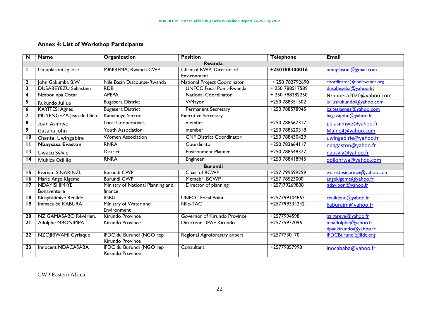## **Annex 4: List of Workshop Participants**

| N                       | <b>Name</b>                 | Organization                                 | <b>Position</b>                 | <b>Telephone</b> | <b>Email</b>                |
|-------------------------|-----------------------------|----------------------------------------------|---------------------------------|------------------|-----------------------------|
|                         |                             |                                              | Rwanda                          |                  |                             |
|                         | Umupfasoni Lyliose          | MINIREMA, Rwanda CWP                         | Chair of RWP, Director of       | +250788300016    | umupfasoni@gmail.com        |
|                         |                             |                                              | Environment                     |                  |                             |
| $\mathbf{2}$            | John Gakumba B.W            | Nile Basin Discourse-Rwanda                  | National Project Coordinator    | + 250 782792690  | coordinator@nbdfrwanda.org  |
| $\overline{\mathbf{3}}$ | <b>DUSABEYEZU Sebastien</b> | <b>RDB</b>                                   | <b>UNFCC Focal Point-Rwanda</b> | +250788517589    | dusabeseba@yahoo.fr;        |
| 4                       | Nzaboninpa Oscar            | <b>APEPA</b>                                 | <b>National Coordinator</b>     | +250788382250    | Nzaboera2020@yahoo.com      |
| 5                       | Rukundo Julius              | <b>Bugesera District</b>                     | $\overline{V}$ Mayor            | +250 788351502   | juliusrukundo@yahoo.com     |
| 6                       | <b>KAYITESI Agnes</b>       | <b>Bugesera District</b>                     | <b>Permanent Secretary</b>      | +250 788578945   | kaitesiagnes@yahoo.com      |
| 7                       | MUYENGEZA Jean de Dieu      | Kamabuye Sector                              | <b>Executive Secretary</b>      |                  | bagazajohn@yahoo.fr         |
| 8                       | Joan Asimwe                 | Local Cooperatives                           | member                          | +250 788567317   | j.b.asiimwe@yahoo.fr        |
| $\overline{9}$          | Gasana john                 | Youth Association                            | member                          | +250 788620318   | Malne4@yahoo.com            |
| $\overline{10}$         | Chantal Uwingabire          | <b>Women Association</b>                     | <b>CNF District Coordinator</b> | +250 788430429   | uwingabirie@yahoo.fr        |
| $\mathbf{H}$            | <b>Nbaysasa Evaston</b>     | <b>RNRA</b>                                  | Coordinator                     | +250 783664117   | ndagaston@yahoo.fr          |
| $\overline{13}$         | Uwacu Sylvie                | <b>District</b>                              | <b>Environment Planner</b>      | +250 788548377   | nausyly@yahoo.fr            |
| $\overline{14}$         | Mukiza Odilllo              | <b>RNRA</b>                                  | Engineer                        | +250 788418945   | odilonrwa@yahoo.com         |
|                         |                             |                                              | <b>Burundi</b>                  |                  |                             |
| 15                      | Evariste SINARINZI,         | <b>Burundi CWP</b>                           | Chair of BCWP                   | +257 799599259   | evaristesinarinzi@yahoo.com |
| 16                      | Marie Ange Kigeme           | <b>Burundi CWP</b>                           | Memebr, BCWP                    | +257 78523000    | angekigeme@yahoo.fr         |
| $\overline{17}$         | <b>NDAYISHIMIYE</b>         | Ministry of National Planning and            | Director of planning            | +257)79269808    | ndayibon@yahoo.fr           |
|                         | Bonaventure                 | finance                                      |                                 |                  |                             |
| $\overline{18}$         | Ndayishimiye Renilde        | <b>IGBU</b>                                  | <b>UNFCC Focal Point</b>        | +257799104867    | renildend@yahoo.fr          |
| $\overline{19}$         | Immaculée KABURA            | Ministry of Water and<br>Environment         | Nile-TAC                        | +257799334242    | kaburaim@yahoo.fr           |
| $\overline{20}$         | NZIGAMASABO Révérien,       | Kirundo Province                             | Governor of Kirundo Province    | +2577994598      | nzigareve@yahoo.fr          |
| $\overline{21}$         | Adolphe MBONIMPA            | Kirundo Province                             | Directeur DPAE Kirundo          | +25779977096     | mbadolphe@yahoo.fr          |
|                         |                             |                                              |                                 |                  | dpaekirundo@yahoo.fr        |
| $\overline{22}$         | NZOJIBWAMI Cyriaque         | IFDC du Burundi (NGO rep<br>Kirundo Province | Regional Agroforestry expert    | $+2577730170$    | IFDCBurundi@ifdc.org        |
| $\overline{23}$         | Innocent NDACASABA          | IFDC du Burundi (NGO rep                     | Consultant                      | +25779857998     | inocababa@yahoo.fr          |
|                         |                             | Kirundo Province                             |                                 |                  |                             |